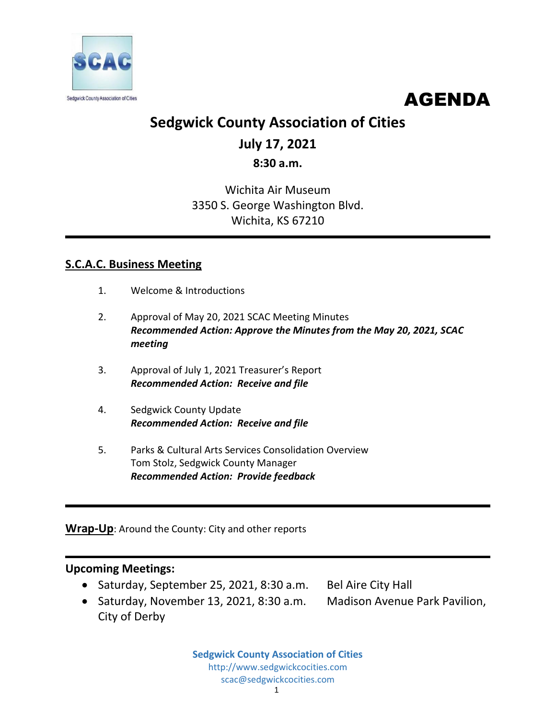

AGENDA

# **Sedgwick County Association of Cities**

# **July 17, 2021**

## **8:30 a.m.**

## Wichita Air Museum 3350 S. George Washington Blvd. Wichita, KS 67210

## **S.C.A.C. Business Meeting**

- 1. Welcome & Introductions
- 2. Approval of May 20, 2021 SCAC Meeting Minutes *Recommended Action: Approve the Minutes from the May 20, 2021, SCAC meeting*
- 3. Approval of July 1, 2021 Treasurer's Report *Recommended Action: Receive and file*
- 4. Sedgwick County Update *Recommended Action: Receive and file*
- 5. Parks & Cultural Arts Services Consolidation Overview Tom Stolz, Sedgwick County Manager *Recommended Action: Provide feedback*

## **Wrap-Up**: Around the County: City and other reports

### **Upcoming Meetings:**

- Saturday, September 25, 2021, 8:30 a.m. Bel Aire City Hall
- Saturday, November 13, 2021, 8:30 a.m. Madison Avenue Park Pavilion, City of Derby
- 

**Sedgwick County Association of Cities** http://www.sedgwickcocities.com scac@sedgwickcocities.com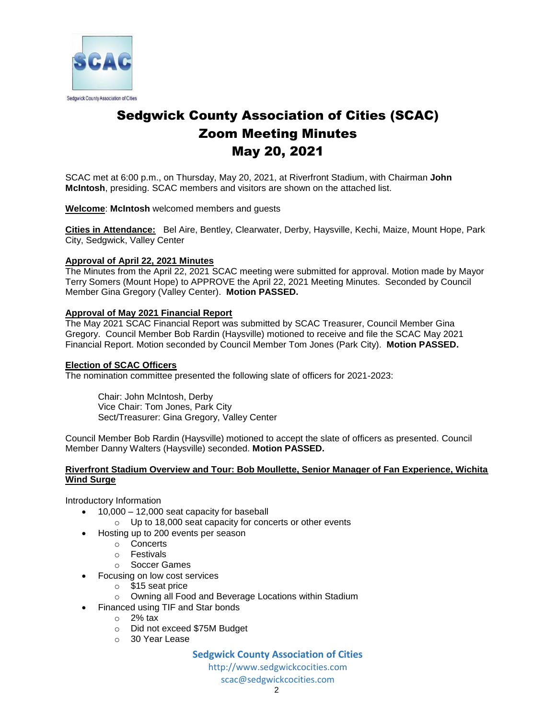

# Sedgwick County Association of Cities (SCAC) Zoom Meeting Minutes May 20, 2021

SCAC met at 6:00 p.m., on Thursday, May 20, 2021, at Riverfront Stadium, with Chairman **John McIntosh**, presiding. SCAC members and visitors are shown on the attached list.

#### **Welcome**: **McIntosh** welcomed members and guests

**Cities in Attendance:** Bel Aire, Bentley, Clearwater, Derby, Haysville, Kechi, Maize, Mount Hope, Park City, Sedgwick, Valley Center

#### **Approval of April 22, 2021 Minutes**

The Minutes from the April 22, 2021 SCAC meeting were submitted for approval. Motion made by Mayor Terry Somers (Mount Hope) to APPROVE the April 22, 2021 Meeting Minutes. Seconded by Council Member Gina Gregory (Valley Center). **Motion PASSED.** 

#### **Approval of May 2021 Financial Report**

The May 2021 SCAC Financial Report was submitted by SCAC Treasurer, Council Member Gina Gregory. Council Member Bob Rardin (Haysville) motioned to receive and file the SCAC May 2021 Financial Report. Motion seconded by Council Member Tom Jones (Park City). **Motion PASSED.**

#### **Election of SCAC Officers**

The nomination committee presented the following slate of officers for 2021-2023:

Chair: John McIntosh, Derby Vice Chair: Tom Jones, Park City Sect/Treasurer: Gina Gregory, Valley Center

Council Member Bob Rardin (Haysville) motioned to accept the slate of officers as presented. Council Member Danny Walters (Haysville) seconded. **Motion PASSED.**

#### **Riverfront Stadium Overview and Tour: Bob Moullette, Senior Manager of Fan Experience, Wichita Wind Surge**

Introductory Information

- 10,000 12,000 seat capacity for baseball
	- o Up to 18,000 seat capacity for concerts or other events
- Hosting up to 200 events per season
	- o Concerts
	- o Festivals
	- o Soccer Games
- Focusing on low cost services
	- o \$15 seat price
	- o Owning all Food and Beverage Locations within Stadium
- Financed using TIF and Star bonds
	- $\circ$  2% tax
	- o Did not exceed \$75M Budget
	- o 30 Year Lease

#### **Sedgwick County Association of Cities**

http://www.sedgwickcocities.com

scac@sedgwickcocities.com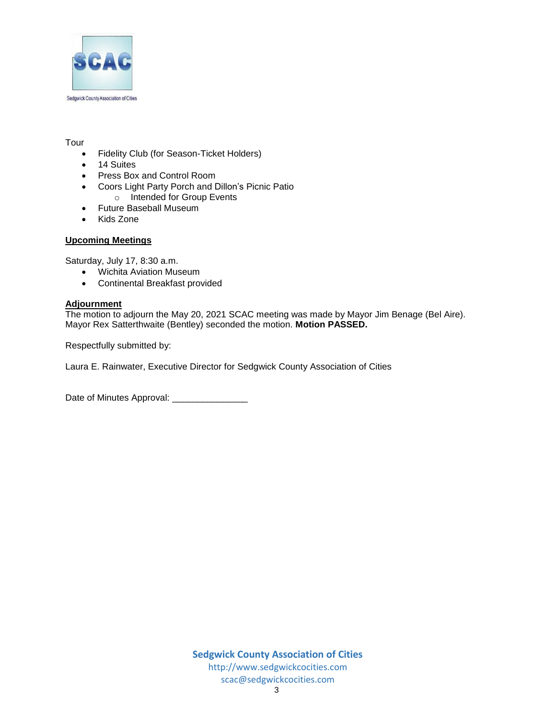

#### Tour

- Fidelity Club (for Season-Ticket Holders)
- 14 Suites
- Press Box and Control Room
- Coors Light Party Porch and Dillon's Picnic Patio
	- o Intended for Group Events
- Future Baseball Museum
- Kids Zone

#### **Upcoming Meetings**

Saturday, July 17, 8:30 a.m.

- Wichita Aviation Museum
- Continental Breakfast provided

#### **Adjournment**

The motion to adjourn the May 20, 2021 SCAC meeting was made by Mayor Jim Benage (Bel Aire). Mayor Rex Satterthwaite (Bentley) seconded the motion. **Motion PASSED.** 

Respectfully submitted by:

Laura E. Rainwater, Executive Director for Sedgwick County Association of Cities

Date of Minutes Approval: \_\_\_\_\_\_\_\_\_\_\_\_\_\_\_\_\_